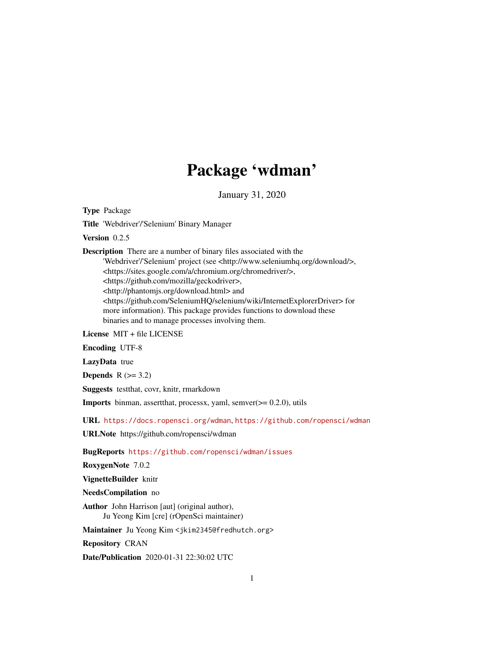# Package 'wdman'

January 31, 2020

<span id="page-0-0"></span>Type Package

Title 'Webdriver'/'Selenium' Binary Manager

Version 0.2.5

Description There are a number of binary files associated with the 'Webdriver'/'Selenium' project (see <http://www.seleniumhq.org/download/>, <https://sites.google.com/a/chromium.org/chromedriver/>, <https://github.com/mozilla/geckodriver>, <http://phantomjs.org/download.html> and <https://github.com/SeleniumHQ/selenium/wiki/InternetExplorerDriver> for more information). This package provides functions to download these binaries and to manage processes involving them.

License MIT + file LICENSE

Encoding UTF-8

LazyData true

Depends  $R$  ( $>= 3.2$ )

Suggests testthat, covr, knitr, rmarkdown

Imports binman, assertthat, processx, yaml, semver(>= 0.2.0), utils

URL <https://docs.ropensci.org/wdman>, <https://github.com/ropensci/wdman>

URLNote https://github.com/ropensci/wdman

BugReports <https://github.com/ropensci/wdman/issues>

RoxygenNote 7.0.2

VignetteBuilder knitr

NeedsCompilation no

Author John Harrison [aut] (original author), Ju Yeong Kim [cre] (rOpenSci maintainer)

Maintainer Ju Yeong Kim <jkim2345@fredhutch.org>

Repository CRAN

Date/Publication 2020-01-31 22:30:02 UTC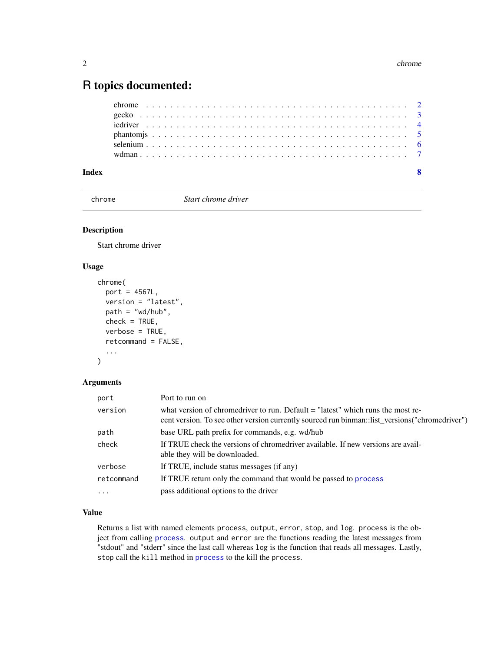### <span id="page-1-0"></span>R topics documented:

chrome *Start chrome driver*

#### Description

Start chrome driver

#### Usage

```
chrome(
 port = 4567L,
  version = "latest",
 path = "wd/hub",
  check = TRUE,verbose = TRUE,
  retcommand = FALSE,
  ...
)
```
#### Arguments

| port       | Port to run on                                                                                                                                                                      |
|------------|-------------------------------------------------------------------------------------------------------------------------------------------------------------------------------------|
| version    | what version of chromedriver to run. Default $=$ "latest" which runs the most re-<br>cent version. To see other version currently sourced run binman: list_versions("chromedriver") |
| path       | base URL path prefix for commands, e.g. wd/hub                                                                                                                                      |
| check      | If TRUE check the versions of chromedriver available. If new versions are avail-<br>able they will be downloaded.                                                                   |
| verbose    | If TRUE, include status messages (if any)                                                                                                                                           |
| retcommand | If TRUE return only the command that would be passed to process                                                                                                                     |
| $\ddots$   | pass additional options to the driver                                                                                                                                               |

#### Value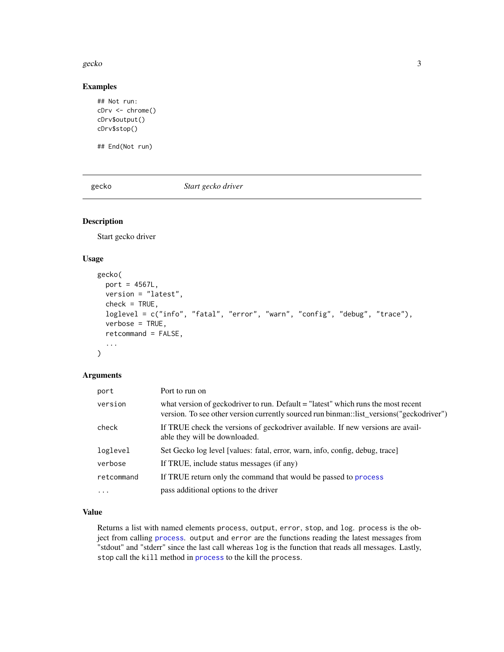#### <span id="page-2-0"></span>gecko 33 aprilista eta 2009ko hamarkada eta 2009ko hamarkada eta 2009ko hamarkada eta 2009ko hamarkada eta 20

#### Examples

```
## Not run:
cDrv <- chrome()
cDrv$output()
cDrv$stop()
```
## End(Not run)

gecko *Start gecko driver*

#### Description

Start gecko driver

#### Usage

```
gecko(
 port = 4567L,
  version = "latest",
  check = TRUE,
  loglevel = c("info", "fatal", "error", "warn", "config", "debug", "trace"),
  verbose = TRUE,
  retcommand = FALSE,
  ...
\mathcal{L}
```
#### Arguments

| port       | Port to run on                                                                                                                                                                |
|------------|-------------------------------------------------------------------------------------------------------------------------------------------------------------------------------|
| version    | what version of geckodriver to run. Default = "latest" which runs the most recent<br>version. To see other version currently sourced run binman::list_versions("geckodriver") |
| check      | If TRUE check the versions of geckodriver available. If new versions are avail-<br>able they will be downloaded.                                                              |
| loglevel   | Set Gecko log level [values: fatal, error, warn, info, config, debug, trace]                                                                                                  |
| verbose    | If TRUE, include status messages (if any)                                                                                                                                     |
| retcommand | If TRUE return only the command that would be passed to process                                                                                                               |
| $\cdots$   | pass additional options to the driver                                                                                                                                         |

#### Value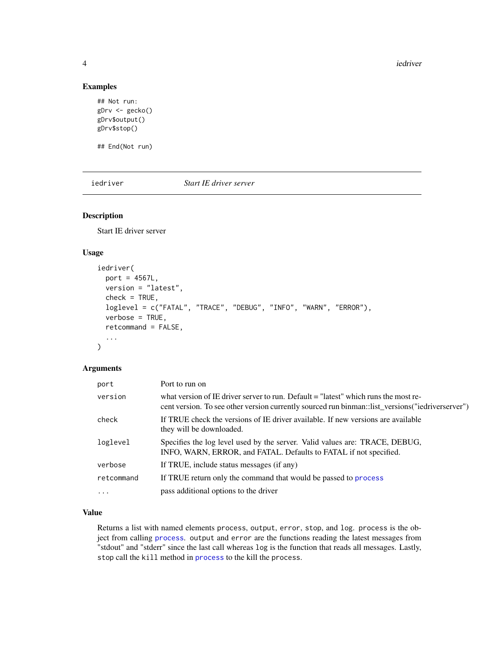4 iedriver in the set of the set of the set of the set of the set of the set of the set of the set of the set of the set of the set of the set of the set of the set of the set of the set of the set of the set of the set of

#### Examples

```
## Not run:
gDrv <- gecko()
gDrv$output()
gDrv$stop()
```
## End(Not run)

iedriver *Start IE driver server*

#### Description

Start IE driver server

#### Usage

```
iedriver(
 port = 4567L,
 version = "latest",
  check = TRUE,loglevel = c("FATAL", "TRACE", "DEBUG", "INFO", "WARN", "ERROR"),
  verbose = TRUE,
  retcommand = FALSE,
  ...
```
## $\mathcal{L}$

#### Arguments

| port       | Port to run on                                                                                                                                                                          |
|------------|-----------------------------------------------------------------------------------------------------------------------------------------------------------------------------------------|
| version    | what version of IE driver server to run. Default = "latest" which runs the most re-<br>cent version. To see other version currently sourced run binman: list_versions("iedriverserver") |
| check      | If TRUE check the versions of IE driver available. If new versions are available<br>they will be downloaded.                                                                            |
| loglevel   | Specifies the log level used by the server. Valid values are: TRACE, DEBUG,<br>INFO, WARN, ERROR, and FATAL. Defaults to FATAL if not specified.                                        |
| verbose    | If TRUE, include status messages (if any)                                                                                                                                               |
| retcommand | If TRUE return only the command that would be passed to process                                                                                                                         |
| $\cdots$   | pass additional options to the driver                                                                                                                                                   |

#### Value

<span id="page-3-0"></span>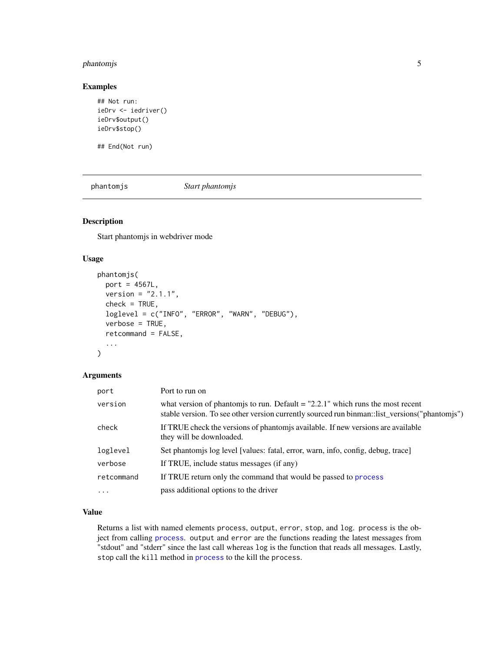#### <span id="page-4-0"></span>phantomjs 5

#### Examples

```
## Not run:
ieDrv <- iedriver()
ieDrv$output()
ieDrv$stop()
```
## End(Not run)

phantomjs *Start phantomjs*

#### Description

Start phantomjs in webdriver mode

#### Usage

```
phantomjs(
 port = 4567L,
  version = "2.1.1",check = TRUE,loglevel = c("INFO", "ERROR", "WARN", "DEBUG"),
  verbose = TRUE,
  retcommand = FALSE,
  ...
\mathcal{L}
```
#### Arguments

| port       | Port to run on                                                                                                                                                                    |
|------------|-----------------------------------------------------------------------------------------------------------------------------------------------------------------------------------|
| version    | what version of phantomis to run. Default $=$ "2.2.1" which runs the most recent<br>stable version. To see other version currently sourced run binman: list_versions("phantomjs") |
| check      | If TRUE check the versions of phantom is available. If new versions are available<br>they will be downloaded.                                                                     |
| loglevel   | Set phantomis log level [values: fatal, error, warn, info, config, debug, trace]                                                                                                  |
| verbose    | If TRUE, include status messages (if any)                                                                                                                                         |
| retcommand | If TRUE return only the command that would be passed to process                                                                                                                   |
| $\cdot$    | pass additional options to the driver                                                                                                                                             |

#### Value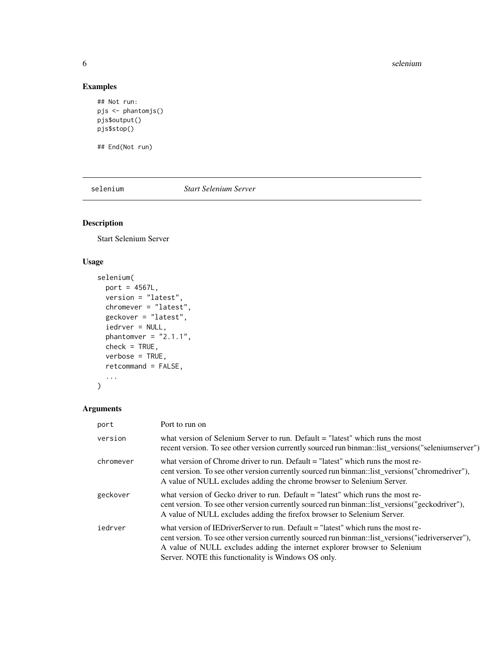#### 6 selenium contra extensive contra extensive contra extensive contra extensive selenium selenium contra extensive contra extensive contra extensive contra extensive contra extensive contra extensive contra extensive contra

#### Examples

```
## Not run:
pjs <- phantomjs()
pjs$output()
pjs$stop()
```
## End(Not run)

selenium *Start Selenium Server*

#### Description

Start Selenium Server

#### Usage

```
selenium(
 port = 4567L,
 version = "latest",
 chromever = "latest",
 geckover = "latest",
  iedrver = NULL,
 phantomver = "2.1.1",
 check = TRUE,verbose = TRUE,
  retcommand = FALSE,
  ...
\mathcal{L}
```
#### Arguments

| port      | Port to run on                                                                                                                                                                                                                                                                                                               |
|-----------|------------------------------------------------------------------------------------------------------------------------------------------------------------------------------------------------------------------------------------------------------------------------------------------------------------------------------|
| version   | what version of Selenium Server to run. Default $=$ "latest" which runs the most<br>recent version. To see other version currently sourced run binman::list_versions("seleniumserver")                                                                                                                                       |
| chromever | what version of Chrome driver to run. Default $=$ "latest" which runs the most re-<br>cent version. To see other version currently sourced run binman: list_versions("chromedriver"),<br>A value of NULL excludes adding the chrome browser to Selenium Server.                                                              |
| geckover  | what version of Gecko driver to run. Default $=$ "latest" which runs the most re-<br>cent version. To see other version currently sourced run binman: list_versions("geckodriver"),<br>A value of NULL excludes adding the firefox browser to Selenium Server.                                                               |
| iedrver   | what version of IED river Server to run. Default = "latest" which runs the most re-<br>cent version. To see other version currently sourced run binman: list_versions("iedriverserver"),<br>A value of NULL excludes adding the internet explorer browser to Selenium<br>Server. NOTE this functionality is Windows OS only. |

<span id="page-5-0"></span>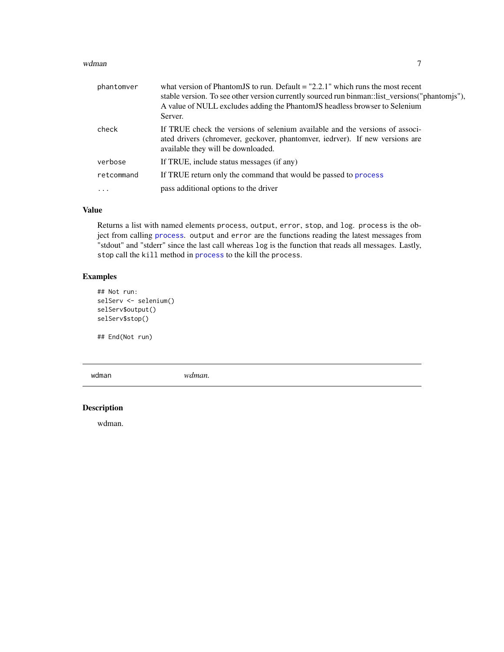#### <span id="page-6-0"></span>wdman 7 and 7 and 7 and 7 and 7 and 7 and 7 and 7 and 7 and 7 and 7 and 7 and 7 and 7 and 7 and 7 and 7 and 7 and 7 and 7 and 7 and 7 and 7 and 7 and 7 and 7 and 7 and 7 and 7 and 7 and 7 and 7 and 7 and 7 and 7 and 7 and

| phantomver | what version of Phantom JS to run. Default = "2.2.1" which runs the most recent<br>stable version. To see other version currently sourced run binman: list_versions("phantomjs"),<br>A value of NULL excludes adding the Phantom JS headless browser to Selenium<br>Server. |
|------------|-----------------------------------------------------------------------------------------------------------------------------------------------------------------------------------------------------------------------------------------------------------------------------|
| check      | If TRUE check the versions of selenium available and the versions of associ-<br>ated drivers (chromever, geckover, phantomver, iedrver). If new versions are<br>available they will be downloaded.                                                                          |
| verbose    | If TRUE, include status messages (if any)                                                                                                                                                                                                                                   |
| retcommand | If TRUE return only the command that would be passed to process                                                                                                                                                                                                             |
| $\ddotsc$  | pass additional options to the driver                                                                                                                                                                                                                                       |

#### Value

Returns a list with named elements process, output, error, stop, and log. process is the object from calling [process](#page-0-0). output and error are the functions reading the latest messages from "stdout" and "stderr" since the last call whereas log is the function that reads all messages. Lastly, stop call the kill method in [process](#page-0-0) to the kill the process.

#### Examples

```
## Not run:
selServ <- selenium()
selServ$output()
selServ$stop()
```
## End(Not run)

wdman *wdman.*

#### Description

wdman.